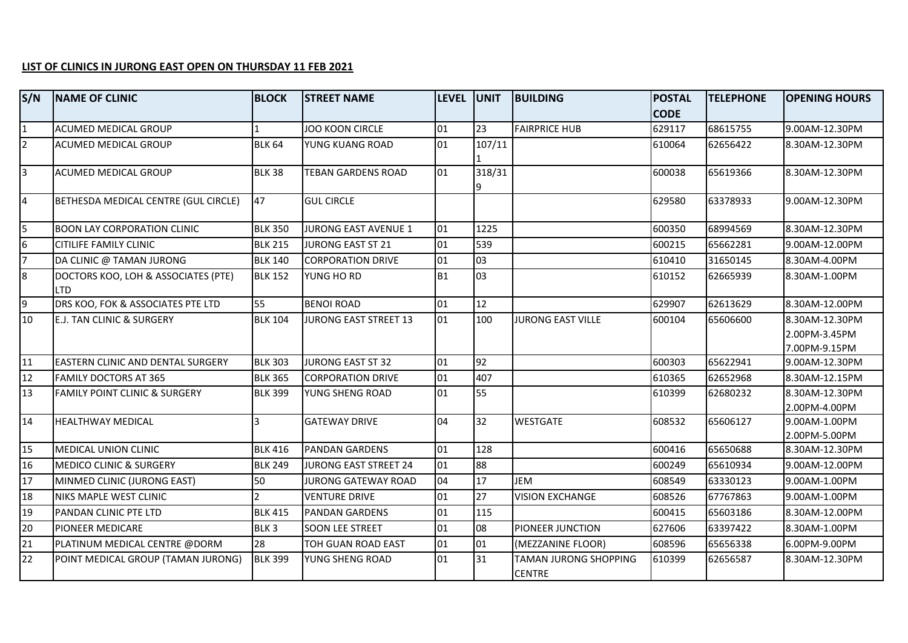## **LIST OF CLINICS IN JURONG EAST OPEN ON THURSDAY 11 FEB 2021**

| S/N            | <b>NAME OF CLINIC</b>                             | <b>BLOCK</b>             | <b>STREET NAME</b>         | level  unit    |        | <b>BUILDING</b>                        | <b>POSTAL</b> | <b>TELEPHONE</b> | <b>OPENING HOURS</b>            |
|----------------|---------------------------------------------------|--------------------------|----------------------------|----------------|--------|----------------------------------------|---------------|------------------|---------------------------------|
|                |                                                   |                          |                            |                |        |                                        | <b>CODE</b>   |                  |                                 |
| $\overline{1}$ | <b>ACUMED MEDICAL GROUP</b>                       |                          | <b>JOO KOON CIRCLE</b>     | 01             | 23     | <b>FAIRPRICE HUB</b>                   | 629117        | 68615755         | 9.00AM-12.30PM                  |
| $\overline{2}$ | <b>ACUMED MEDICAL GROUP</b>                       | <b>BLK 64</b>            | YUNG KUANG ROAD            | $ 01\rangle$   | 107/11 |                                        | 610064        | 62656422         | 8.30AM-12.30PM                  |
|                |                                                   |                          |                            |                |        |                                        |               |                  |                                 |
| $\overline{3}$ | <b>ACUMED MEDICAL GROUP</b>                       | <b>BLK 38</b>            | TEBAN GARDENS ROAD         | $ 01\rangle$   | 318/31 |                                        | 600038        | 65619366         | 8.30AM-12.30PM                  |
| $\overline{4}$ | BETHESDA MEDICAL CENTRE (GUL CIRCLE)              | 47                       | <b>GUL CIRCLE</b>          |                |        |                                        | 629580        | 63378933         | 9.00AM-12.30PM                  |
| 5              | <b>BOON LAY CORPORATION CLINIC</b>                | <b>BLK 350</b>           | JURONG EAST AVENUE 1       | 01             | 1225   |                                        | 600350        | 68994569         | 8.30AM-12.30PM                  |
| 6              | <b>CITILIFE FAMILY CLINIC</b>                     | <b>BLK 215</b>           | <b>JURONG EAST ST 21</b>   | 01             | 539    |                                        | 600215        | 65662281         | 9.00AM-12.00PM                  |
| $\overline{7}$ | DA CLINIC @ TAMAN JURONG                          | <b>BLK 140</b>           | <b>CORPORATION DRIVE</b>   | 01             | 03     |                                        | 610410        | 31650145         | 8.30AM-4.00PM                   |
| 8              | DOCTORS KOO, LOH & ASSOCIATES (PTE)<br><b>LTD</b> | <b>BLK 152</b>           | YUNG HO RD                 | B <sub>1</sub> | 03     |                                        | 610152        | 62665939         | 8.30AM-1.00PM                   |
| 9              | DRS KOO, FOK & ASSOCIATES PTE LTD                 | 55                       | <b>BENOI ROAD</b>          | 01             | 12     |                                        | 629907        | 62613629         | 8.30AM-12.00PM                  |
| 10             | <b>E.J. TAN CLINIC &amp; SURGERY</b>              | <b>BLK 104</b>           | JURONG EAST STREET 13      | $\log$         | 100    | <b>JURONG EAST VILLE</b>               | 600104        | 65606600         | 8.30AM-12.30PM                  |
|                |                                                   |                          |                            |                |        |                                        |               |                  | 2.00PM-3.45PM                   |
|                |                                                   |                          |                            |                |        |                                        |               |                  | 7.00PM-9.15PM                   |
| 11             | <b>EASTERN CLINIC AND DENTAL SURGERY</b>          | <b>BLK 303</b>           | <b>JURONG EAST ST 32</b>   | 01             | 92     |                                        | 600303        | 65622941         | 9.00AM-12.30PM                  |
| <b>12</b>      | <b>FAMILY DOCTORS AT 365</b>                      | <b>BLK 365</b>           | <b>CORPORATION DRIVE</b>   | 01             | 407    |                                        | 610365        | 62652968         | 8.30AM-12.15PM                  |
| 13             | <b>FAMILY POINT CLINIC &amp; SURGERY</b>          | <b>BLK 399</b>           | YUNG SHENG ROAD            | 01             | 55     |                                        | 610399        | 62680232         | 8.30AM-12.30PM<br>2.00PM-4.00PM |
| 14             | <b>HEALTHWAY MEDICAL</b>                          | 3                        | <b>GATEWAY DRIVE</b>       | 04             | 32     | <b>WESTGATE</b>                        | 608532        | 65606127         | 9.00AM-1.00PM                   |
|                |                                                   |                          |                            |                |        |                                        |               |                  | 2.00PM-5.00PM                   |
| 15             | MEDICAL UNION CLINIC                              | <b>BLK 416</b>           | <b>PANDAN GARDENS</b>      | 01             | 128    |                                        | 600416        | 65650688         | 8.30AM-12.30PM                  |
| 16             | <b>MEDICO CLINIC &amp; SURGERY</b>                | <b>BLK 249</b>           | JURONG EAST STREET 24      | $ _{01}$       | 88     |                                        | 600249        | 65610934         | 9.00AM-12.00PM                  |
| 17             | MINMED CLINIC (JURONG EAST)                       | 50                       | <b>JURONG GATEWAY ROAD</b> | 04             | 17     | JEM                                    | 608549        | 63330123         | 9.00AM-1.00PM                   |
| 18             | NIKS MAPLE WEST CLINIC                            | $\overline{\phantom{a}}$ | <b>VENTURE DRIVE</b>       | 01             | 27     | <b>VISION EXCHANGE</b>                 | 608526        | 67767863         | 9.00AM-1.00PM                   |
| 19             | <b>PANDAN CLINIC PTE LTD</b>                      | <b>BLK 415</b>           | <b>PANDAN GARDENS</b>      | 01             | 115    |                                        | 600415        | 65603186         | 8.30AM-12.00PM                  |
| 20             | <b>PIONEER MEDICARE</b>                           | BLK <sub>3</sub>         | <b>SOON LEE STREET</b>     | 01             | 08     | PIONEER JUNCTION                       | 627606        | 63397422         | 8.30AM-1.00PM                   |
| 21             | PLATINUM MEDICAL CENTRE @DORM                     | 28                       | TOH GUAN ROAD EAST         | 01             | 01     | (MEZZANINE FLOOR)                      | 608596        | 65656338         | 6.00PM-9.00PM                   |
| 22             | POINT MEDICAL GROUP (TAMAN JURONG)                | <b>BLK 399</b>           | YUNG SHENG ROAD            | 01             | 31     | TAMAN JURONG SHOPPING<br><b>CENTRE</b> | 610399        | 62656587         | 8.30AM-12.30PM                  |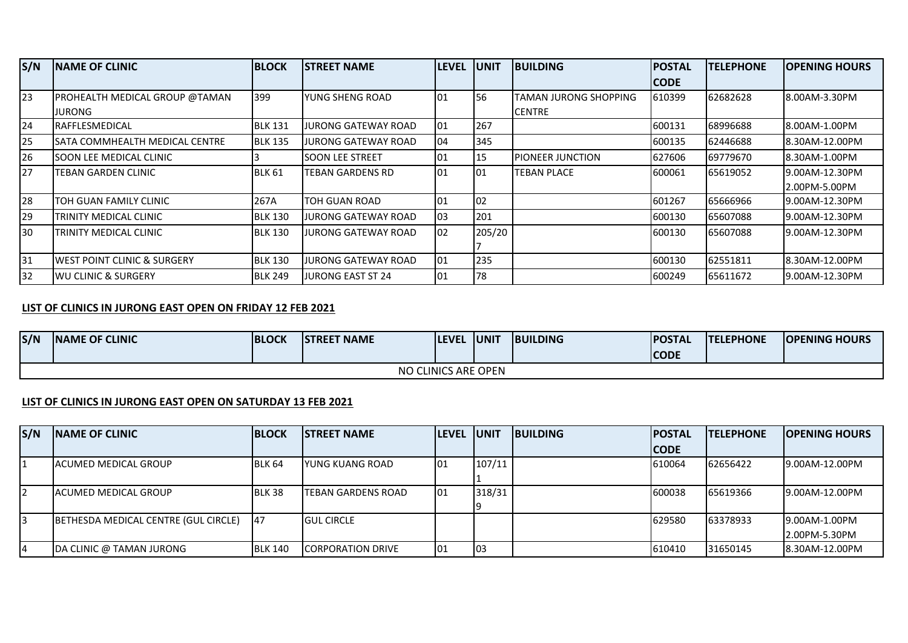| S/N | <b>INAME OF CLINIC</b>                 | <b>BLOCK</b>   | <b>ISTREET NAME</b>      | <b>LEVEL</b> | <b>IUNIT</b> | <b>IBUILDING</b>         | <b>POSTAL</b> | <b>ITELEPHONE</b> | <b>OPENING HOURS</b> |
|-----|----------------------------------------|----------------|--------------------------|--------------|--------------|--------------------------|---------------|-------------------|----------------------|
|     |                                        |                |                          |              |              |                          | <b>CODE</b>   |                   |                      |
| 23  | <b>PROHEALTH MEDICAL GROUP @TAMAN</b>  | 399            | lyung sheng road         | 101          | 56           | TAMAN JURONG SHOPPING    | 610399        | 62682628          | 8.00AM-3.30PM        |
|     | JURONG                                 |                |                          |              |              | <b>CENTRE</b>            |               |                   |                      |
| 24  | <b>IRAFFLESMEDICAL</b>                 | <b>BLK 131</b> | JURONG GATEWAY ROAD      | 101          | 267          |                          | 600131        | 68996688          | 8.00AM-1.00PM        |
| 25  | ISATA COMMHEALTH MEDICAL CENTRE        | <b>BLK 135</b> | JURONG GATEWAY ROAD      | 104          | 345          |                          | 600135        | 62446688          | 8.30AM-12.00PM       |
| 26  | ISOON LEE MEDICAL CLINIC               |                | <b>I</b> SOON LEE STREET | 01           | 15           | <b>IPIONEER JUNCTION</b> | 627606        | 169779670         | 8.30AM-1.00PM        |
| 27  | <b>TEBAN GARDEN CLINIC</b>             | <b>BLK 61</b>  | <b>TEBAN GARDENS RD</b>  | 101          | 01           | <b>TEBAN PLACE</b>       | 600061        | 65619052          | 9.00AM-12.30PM       |
|     |                                        |                |                          |              |              |                          |               |                   | 2.00PM-5.00PM        |
| 28  | TOH GUAN FAMILY CLINIC                 | 267A           | <b>TOH GUAN ROAD</b>     | 101          | 02           |                          | 601267        | 65666966          | 9.00AM-12.30PM       |
| 29  | TRINITY MEDICAL CLINIC                 | <b>BLK 130</b> | JURONG GATEWAY ROAD      | loз          | 201          |                          | 600130        | 65607088          | 9.00AM-12.30PM       |
| 30  | TRINITY MEDICAL CLINIC                 | <b>BLK 130</b> | JURONG GATEWAY ROAD      | 102          | 205/20       |                          | 600130        | 65607088          | 9.00AM-12.30PM       |
|     |                                        |                |                          |              |              |                          |               |                   |                      |
| 31  | <b>WEST POINT CLINIC &amp; SURGERY</b> | <b>BLK 130</b> | JURONG GATEWAY ROAD      | 01           | 235          |                          | 600130        | 62551811          | 8.30AM-12.00PM       |
| 32  | IWU CLINIC & SURGERY                   | <b>BLK 249</b> | JURONG EAST ST 24        | 101          | 78           |                          | 600249        | 165611672         | 19.00AM-12.30PM      |

## **LIST OF CLINICS IN JURONG EAST OPEN ON FRIDAY 12 FEB 2021**

| S/N                 | <b>NAME OF CLINIC</b> | <b>BLOCK</b> | <b>STREET NAME</b> | <b>ILEVEL</b> | <b>JUNIT</b> | <b>BUILDING</b> | <b>POSTAL</b> | <b>TELEPHONE</b> | <b>OPENING HOURS</b> |  |
|---------------------|-----------------------|--------------|--------------------|---------------|--------------|-----------------|---------------|------------------|----------------------|--|
|                     |                       |              |                    |               |              |                 | <b>CODE</b>   |                  |                      |  |
| NO CLINICS ARE OPEN |                       |              |                    |               |              |                 |               |                  |                      |  |

## **LIST OF CLINICS IN JURONG EAST OPEN ON SATURDAY 13 FEB 2021**

| <b>INAME OF CLINIC</b>               | <b>BLOCK</b> | <b>ISTREET NAME</b>                                    | llevel                                                                                                   | <b>IUNIT</b>     | <b>IBUILDING</b>       | <b>IPOSTAL</b> | <b>ITELEPHONE</b>                                   | <b>IOPENING HOURS</b>                        |
|--------------------------------------|--------------|--------------------------------------------------------|----------------------------------------------------------------------------------------------------------|------------------|------------------------|----------------|-----------------------------------------------------|----------------------------------------------|
|                                      |              |                                                        |                                                                                                          |                  |                        |                |                                                     |                                              |
| <b>IACUMED MEDICAL GROUP</b>         |              |                                                        |                                                                                                          |                  |                        |                |                                                     | 19.00AM-12.00PM                              |
|                                      |              |                                                        |                                                                                                          |                  |                        |                |                                                     |                                              |
| <b>IACUMED MEDICAL GROUP</b>         |              |                                                        |                                                                                                          |                  |                        |                |                                                     | 9.00AM-12.00PM                               |
|                                      |              |                                                        |                                                                                                          |                  |                        |                |                                                     |                                              |
| BETHESDA MEDICAL CENTRE (GUL CIRCLE) |              |                                                        |                                                                                                          |                  |                        |                |                                                     | 19.00AM-1.00PM                               |
|                                      |              |                                                        |                                                                                                          |                  |                        |                |                                                     | 2.00PM-5.30PM                                |
| <b>DA CLINIC @ TAMAN JURONG</b>      |              |                                                        |                                                                                                          |                  |                        |                |                                                     | 8.30AM-12.00PM                               |
|                                      |              | <b>BLK 64</b><br>BLK 38<br><b>47</b><br><b>BLK 140</b> | <b>IYUNG KUANG ROAD</b><br><b>ITEBAN GARDENS ROAD</b><br><b>IGUL CIRCLE</b><br><b>ICORPORATION DRIVE</b> | 101<br>101<br>01 | 107/11<br>318/31<br>03 |                | <b>CODE</b><br>610064<br>600038<br>629580<br>610410 | 62656422<br>65619366<br>63378933<br>31650145 |